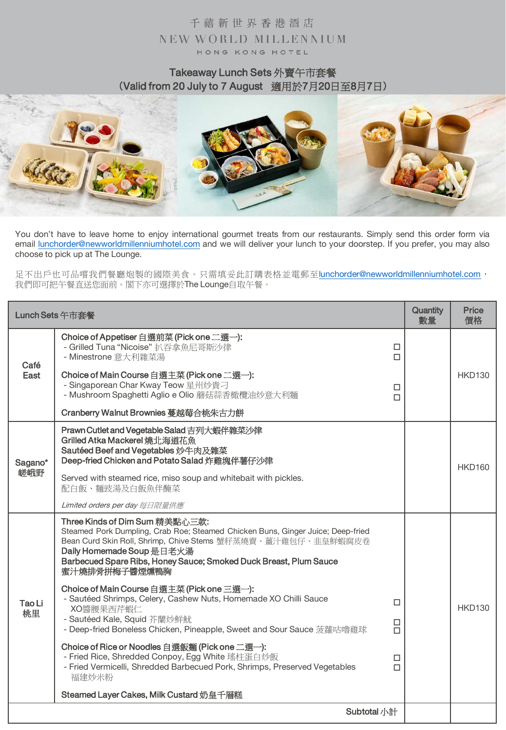### Takeaway Lunch Sets 外賣午市套餐 (Valid from 20 July to 7 August 適用於7月20日至8月7日)



You don't have to leave home to enjoy international gourmet treats from our restaurants. Simply send this order form via email [lunchorder@newworldmillenniumhotel.com](mailto:lunchorder@newworldmillenniumhotel.com) and we will deliver your lunch to your doorstep. If you prefer, you may also choose to pick up at The Lounge.

足不出戶也可品嚐我們餐廳炮製的國際美食。只需填妥此訂購表格並電郵至[lunchorder@newworldmillenniumhotel.com](mailto:lunchorder@newworldmillenniumhotel.com), 我們即可把午餐直送您面前。閣下亦可選擇於The Lounge自取午餐。

|              | Lunch Sets 午市套餐                                                                                                                                                                                                                                                                                      |                  | Quantity<br>數量 | <b>Price</b><br>價格 |
|--------------|------------------------------------------------------------------------------------------------------------------------------------------------------------------------------------------------------------------------------------------------------------------------------------------------------|------------------|----------------|--------------------|
| Café         | Choice of Appetiser 自選前菜 (Pick one 二選一):<br>- Grilled Tuna "Nicoise" 扒吞拿魚尼哥斯沙律<br>- Minestrone 意大利雜菜湯                                                                                                                                                                                                | □<br>П           |                |                    |
| East         | Choice of Main Course 自選主菜 (Pick one 二選一):<br>- Singaporean Char Kway Teow 星州炒貴刁<br>- Mushroom Spaghetti Aglio e Olio 蘑菇蒜香橄欖油炒意大利麵                                                                                                                                                                   | □<br>П           |                | <b>HKD130</b>      |
|              | Cranberry Walnut Brownies 蔓越莓合桃朱古力餅                                                                                                                                                                                                                                                                  |                  |                |                    |
| Sagano*      | Prawn Cutlet and Vegetable Salad 吉列大蝦伴雜菜沙律<br>Grilled Atka Mackerel 燒北海道花魚<br>Sautéed Beef and Vegetables 炒牛肉及雜菜<br>Deep-fried Chicken and Potato Salad 炸雞塊伴薯仔沙律                                                                                                                                     |                  |                | <b>HKD160</b>      |
| 嵯峨野          | Served with steamed rice, miso soup and whitebait with pickles.<br>配白飯、麵豉湯及白飯魚伴醃菜                                                                                                                                                                                                                    |                  |                |                    |
|              | Limited orders per day 每日限量供應                                                                                                                                                                                                                                                                        |                  |                |                    |
|              | Three Kinds of Dim Sum 精美點心三款:<br>Steamed Pork Dumpling, Crab Roe; Steamed Chicken Buns, Ginger Juice; Deep-fried<br>Bean Curd Skin Roll, Shrimp, Chive Stems 蟹籽蒸燒賣、薑汁雞包仔、韭皇鮮蝦腐皮卷<br>Daily Homemade Soup 是日老火湯<br>Barbecued Spare Ribs, Honey Sauce; Smoked Duck Breast, Plum Sauce<br>蜜汁燒排骨拼梅子醬煙燻鴨胸 |                  |                |                    |
| Tao Li<br>桃里 | Choice of Main Course 自選主菜 (Pick one 三選一):<br>- Sautéed Shrimps, Celery, Cashew Nuts, Homemade XO Chilli Sauce<br>XO醬腰果西芹蝦仁<br>- Sautéed Kale, Squid 芥蘭炒鮮魷<br>- Deep-fried Boneless Chicken, Pineapple, Sweet and Sour Sauce 菠蘿咕嚕雞球                                                                  | П<br>□<br>$\Box$ |                | <b>HKD130</b>      |
|              | Choice of Rice or Noodles 自選飯麵 (Pick one 二選一):<br>- Fried Rice, Shredded Conpoy, Egg White 瑤柱蛋白炒飯<br>- Fried Vermicelli, Shredded Barbecued Pork, Shrimps, Preserved Vegetables<br>福建炒米粉                                                                                                             | □<br>$\Box$      |                |                    |
|              | Steamed Layer Cakes, Milk Custard 奶皇千層糕                                                                                                                                                                                                                                                              |                  |                |                    |
|              | Subtotal 小計                                                                                                                                                                                                                                                                                          |                  |                |                    |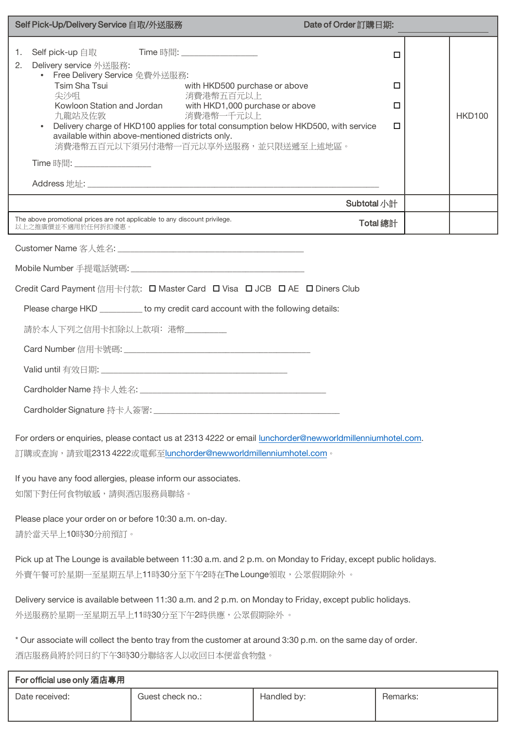| Self Pick-Up/Delivery Service 自取/外送服務                                                                                                                                                                                                                                                                                                                                                                                                                                                                  | Date of Order 訂購日期:     |               |  |  |  |
|--------------------------------------------------------------------------------------------------------------------------------------------------------------------------------------------------------------------------------------------------------------------------------------------------------------------------------------------------------------------------------------------------------------------------------------------------------------------------------------------------------|-------------------------|---------------|--|--|--|
| Self pick-up 自取 Time 時間: _________________<br>1.<br>Delivery service 外送服務:<br>2.<br>• Free Delivery Service 免費外送服務:<br>Tsim Sha Tsui<br>with HKD500 purchase or above<br>尖沙咀<br>消費港幣五百元以上<br>Kowloon Station and Jordan with HKD1,000 purchase or above<br>消費港幣一千元以上<br>九龍站及佐敦<br>Delivery charge of HKD100 applies for total consumption below HKD500, with service<br>available within above-mentioned districts only.<br>消費港幣五百元以下須另付港幣一百元以享外送服務,並只限送遞至上述地區。<br>Time 時間: <u>___________________</u> | О<br>□<br>□<br>□        | <b>HKD100</b> |  |  |  |
|                                                                                                                                                                                                                                                                                                                                                                                                                                                                                                        |                         |               |  |  |  |
| The above promotional prices are not applicable to any discount privilege.                                                                                                                                                                                                                                                                                                                                                                                                                             | Subtotal 小計<br>Total 總計 |               |  |  |  |
| 以上之推廣價並不適用於任何折扣優惠。                                                                                                                                                                                                                                                                                                                                                                                                                                                                                     |                         |               |  |  |  |
|                                                                                                                                                                                                                                                                                                                                                                                                                                                                                                        |                         |               |  |  |  |
|                                                                                                                                                                                                                                                                                                                                                                                                                                                                                                        |                         |               |  |  |  |
| Credit Card Payment 信用卡付款: □ Master Card □ Visa □ JCB □ AE □ Diners Club                                                                                                                                                                                                                                                                                                                                                                                                                               |                         |               |  |  |  |
| Please charge HKD _________ to my credit card account with the following details:                                                                                                                                                                                                                                                                                                                                                                                                                      |                         |               |  |  |  |
| 請於本人下列之信用卡扣除以上款項: 港幣________                                                                                                                                                                                                                                                                                                                                                                                                                                                                           |                         |               |  |  |  |
|                                                                                                                                                                                                                                                                                                                                                                                                                                                                                                        |                         |               |  |  |  |
|                                                                                                                                                                                                                                                                                                                                                                                                                                                                                                        |                         |               |  |  |  |
|                                                                                                                                                                                                                                                                                                                                                                                                                                                                                                        |                         |               |  |  |  |
|                                                                                                                                                                                                                                                                                                                                                                                                                                                                                                        |                         |               |  |  |  |
| For orders or enquiries, please contact us at 2313 4222 or email lunchorder@newworldmillenniumhotel.com.<br>訂購或查詢,請致電2313 4222或電郵至lunchorder@newworldmillenniumhotel.com。                                                                                                                                                                                                                                                                                                                              |                         |               |  |  |  |
| If you have any food allergies, please inform our associates.<br>如閣下對任何食物敏感,請與酒店服務員聯絡。                                                                                                                                                                                                                                                                                                                                                                                                                 |                         |               |  |  |  |
| Please place your order on or before 10:30 a.m. on-day.<br>請於當天早上10時30分前預訂。                                                                                                                                                                                                                                                                                                                                                                                                                            |                         |               |  |  |  |
| Pick up at The Lounge is available between 11:30 a.m. and 2 p.m. on Monday to Friday, except public holidays.<br>外賣午餐可於星期一至星期五早上11時30分至下午2時在The Lounge領取,公眾假期除外。                                                                                                                                                                                                                                                                                                                                       |                         |               |  |  |  |
| Delivery service is available between 11:30 a.m. and 2 p.m. on Monday to Friday, except public holidays.<br>外送服務於星期一至星期五早上11時30分至下午2時供應,公眾假期除外 。                                                                                                                                                                                                                                                                                                                                                       |                         |               |  |  |  |
| * Our associate will collect the bento tray from the customer at around 3:30 p.m. on the same day of order.<br>酒店服務員將於同日約下午3時30分聯絡客人以收回日本便當食物盤。                                                                                                                                                                                                                                                                                                                                                        |                         |               |  |  |  |
| For official use only 酒店專用                                                                                                                                                                                                                                                                                                                                                                                                                                                                             |                         |               |  |  |  |

| $\sim$ 0.000 0.000 0.00 $\mu$ $\sim$ $\mu$ |                  |             |          |
|--------------------------------------------|------------------|-------------|----------|
| Date received:                             | Guest check no.: | Handled by: | Remarks: |
|                                            |                  |             |          |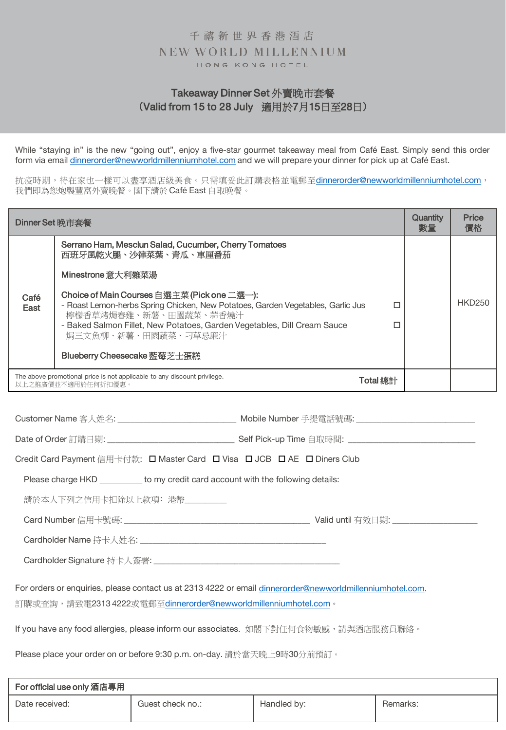### Takeaway Dinner Set 外賣晚市套餐 (Valid from 15 to 28 July 適用於7月15日至28日)

While "staying in" is the new "going out", enjoy a five-star gourmet takeaway meal from Café East. Simply send this order form via email [dinnerorder@newworldmillenniumhotel.com](mailto:lunchorder@newworldmillenniumhotel.com) and we will prepare your dinner for pick up at Café East.

抗疫時期,待在家也一樣可以盡享酒店級美食。只需填妥此訂購表格並電郵至[dinnerorder@newworldmillenniumhotel.com](mailto:lunchorder@newworldmillenniumhotel.com), 我們即為您炮製豐富外賣晚餐。閣下請於Café East 自取晚餐。

| Dinner Set 晚市套餐 |                                                                                                                                                                                                                                                                                           |        | Quantity<br>數量 | Price<br>價格   |
|-----------------|-------------------------------------------------------------------------------------------------------------------------------------------------------------------------------------------------------------------------------------------------------------------------------------------|--------|----------------|---------------|
|                 | Serrano Ham, Mesclun Salad, Cucumber, Cherry Tomatoes<br>西班牙風乾火腿、沙律菜葉、青瓜、車厘番茄                                                                                                                                                                                                             |        |                |               |
|                 | Minestrone 意大利雜菜湯                                                                                                                                                                                                                                                                         |        |                |               |
| Café<br>East    | Choice of Main Courses 自選主菜 (Pick one 二選一):<br>- Roast Lemon-herbs Spring Chicken, New Potatoes, Garden Vegetables, Garlic Jus<br>檸檬香草烤焗春雞、新薯、田園蔬菜、蒜香燒汁<br>- Baked Salmon Fillet, New Potatoes, Garden Vegetables, Dill Cream Sauce<br>焗三文魚柳、新薯、田園蔬菜、刁草忌廉汁<br>Blueberry Cheesecake 藍莓芝士蛋糕 | п<br>п |                | <b>HKD250</b> |
|                 |                                                                                                                                                                                                                                                                                           |        |                |               |
|                 | The above promotional price is not applicable to any discount privilege.<br>以上之推廣價並不適用於任何折扣優惠。                                                                                                                                                                                            |        |                |               |

Customer Name 客人姓名: \_\_\_\_\_\_\_\_\_\_\_\_\_\_\_\_\_\_\_\_\_\_\_\_\_\_\_\_\_\_\_\_\_ Mobile Number 手提電話號碼: \_\_\_\_\_

Date of Order 訂購日期: \_\_\_\_\_\_\_\_\_\_\_\_\_\_\_\_\_\_\_\_\_\_\_\_\_\_\_\_\_\_ Self Pick-up Time 自取時間: \_\_\_\_\_\_\_\_\_\_\_\_\_\_\_\_\_\_\_\_\_\_\_\_\_\_\_\_\_\_

| Credit Card Payment 信用卡付款: □ Master Card □ Visa □ JCB □ AE □ Diners Club |
|--------------------------------------------------------------------------|
|--------------------------------------------------------------------------|

Please charge HKD \_\_\_\_\_\_\_\_\_\_\_ to my credit card account with the following details:

請於本人下列之信用卡扣除以上款項: 港幣\_\_\_\_\_\_\_\_\_

Card Number 信用卡號碼: \_\_\_\_\_\_\_\_\_\_\_\_\_\_\_\_\_\_\_\_\_\_\_\_\_\_\_\_\_\_\_\_\_\_\_\_\_\_\_\_\_\_\_\_ Valid until 有效日期: \_\_\_\_\_\_\_\_\_\_\_\_\_\_\_\_\_\_\_\_

Cardholder Name 持卡人姓名: \_\_\_\_\_\_\_\_\_\_\_\_\_\_\_\_\_\_\_\_\_\_\_\_\_\_\_\_\_\_\_\_\_\_\_\_\_\_\_\_\_\_\_\_

Cardholder Signature 持卡人簽署: \_\_\_\_\_\_\_\_\_\_\_\_\_\_\_\_\_\_\_\_\_\_\_\_\_\_\_\_\_\_\_\_\_\_\_\_\_\_\_\_\_\_\_\_

For orders or enquiries, please contact us at 2313 4222 or email [dinnerorder@newworldmillenniumhotel.com](mailto:dinnerorder@newworldmillenniumhotel.com). 訂購或查詢,請致電2313 4222或電郵至[dinnerorder@newworldmillenniumhotel.com](mailto:lunchorder@newworldmillenniumhotel.com)。

If you have any food allergies, please inform our associates. 如閣下對任何食物敏感,請與酒店服務員聯絡。

Please place your order on or before 9:30 p.m. on-day. 請於當天晚上9時30分前預訂。

| For official use only 酒店專用 |                  |             |          |
|----------------------------|------------------|-------------|----------|
| Date received:             | Guest check no.: | Handled by: | Remarks: |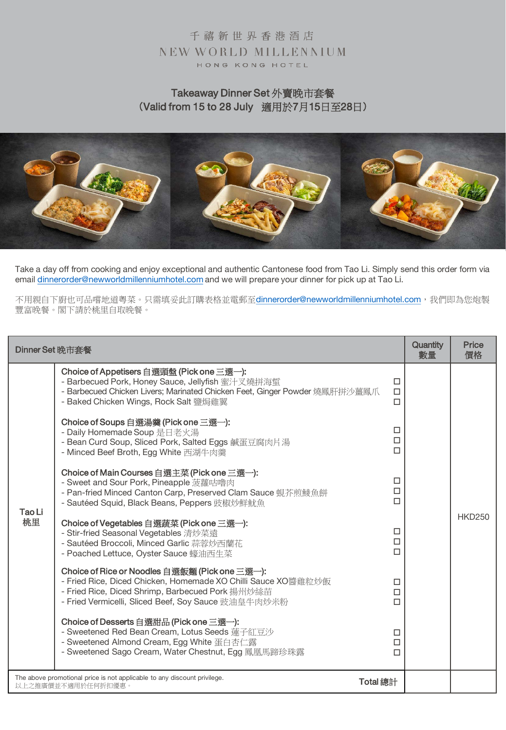## Takeaway Dinner Set 外賣晚市套餐 (Valid from 15 to 28 July 適用於7月15日至28日)



Take a day off from cooking and enjoy exceptional and authentic Cantonese food from Tao Li. Simply send this order form via email [dinnerorder@newworldmillenniumhotel.com](mailto:lunchorder@newworldmillenniumhotel.com) and we will prepare your dinner for pick up at Tao Li.

不用親自下廚也可品嚐地道粵菜。只需填妥此訂購表格並電郵至[dinnerorder@newworldmillenniumhotel.com](mailto:lunchorder@newworldmillenniumhotel.com),我們即為您炮製 豐富晚餐。閣下請於桃里自取晚餐。

| Dinner Set 晚市套餐 |                                                                                                                                                                                                                            | Quantity<br>數量        | <b>Price</b><br>價格 |               |
|-----------------|----------------------------------------------------------------------------------------------------------------------------------------------------------------------------------------------------------------------------|-----------------------|--------------------|---------------|
|                 | Choice of Appetisers 自選頭盤 (Pick one 三選一):<br>- Barbecued Pork, Honey Sauce, Jellyfish 蜜汁叉燒拼海蜇<br>- Barbecued Chicken Livers; Marinated Chicken Feet, Ginger Powder 燒鳳肝拼沙薑鳳爪<br>- Baked Chicken Wings, Rock Salt 鹽焗雞翼       | □<br>$\Box$<br>П      |                    |               |
| Tao Li<br>桃里    | Choice of Soups 自選湯羹 (Pick one 三選一):<br>- Daily Homemade Soup 是日老火湯<br>- Bean Curd Soup, Sliced Pork, Salted Eggs 鹹蛋豆腐肉片湯<br>- Minced Beef Broth, Egg White 西湖牛肉羹                                                          | □<br>$\Box$<br>$\Box$ |                    |               |
|                 | Choice of Main Courses 自選主菜 (Pick one 三選一):<br>- Sweet and Sour Pork, Pineapple 菠蘿咕嚕肉<br>- Pan-fried Minced Canton Carp, Preserved Clam Sauce 蜆芥煎鯪魚餅<br>- Sautéed Squid, Black Beans, Peppers 豉椒炒鮮魷魚                       | □<br>$\Box$<br>П      |                    |               |
|                 | Choice of Vegetables 自選蔬菜 (Pick one 三選一):<br>- Stir-fried Seasonal Vegetables 清炒菜遠<br>- Sautéed Broccoli, Minced Garlic 蒜蓉炒西蘭花<br>- Poached Lettuce, Oyster Sauce 蠔油西生菜                                                    | □<br>$\Box$<br>П      |                    | <b>HKD250</b> |
|                 | Choice of Rice or Noodles 自選飯麵 (Pick one 三選一):<br>- Fried Rice, Diced Chicken, Homemade XO Chilli Sauce XO醬雞粒炒飯<br>- Fried Rice, Diced Shrimp, Barbecued Pork 揚州炒絲苗<br>- Fried Vermicelli, Sliced Beef, Soy Sauce 豉油皇牛肉炒米粉 | □<br>$\Box$<br>П      |                    |               |
|                 | Choice of Desserts 自選甜品 (Pick one 三選一):<br>- Sweetened Red Bean Cream, Lotus Seeds 蓮子紅豆沙<br>- Sweetened Almond Cream, Egg White 蛋白杏仁露<br>- Sweetened Sago Cream, Water Chestnut, Egg 鳳凰馬蹄珍珠露                               | □<br>$\Box$<br>п      |                    |               |
|                 | The above promotional price is not applicable to any discount privilege.<br>以上之推廣價並不適用於任何折扣優惠。                                                                                                                             | Total 總計              |                    |               |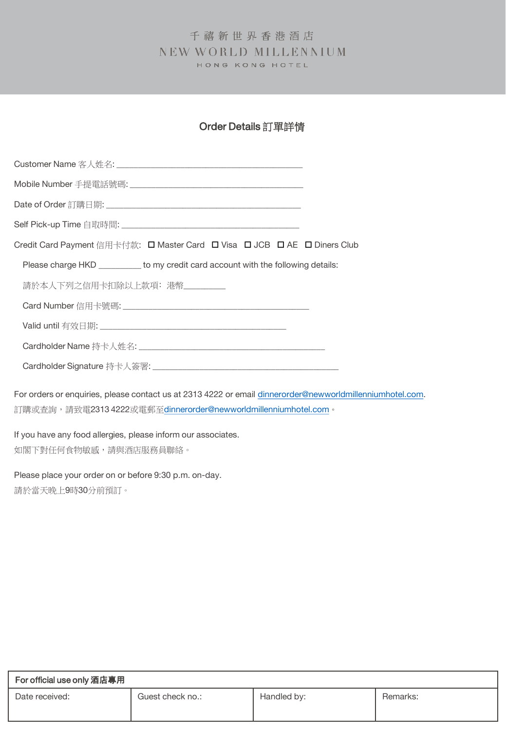## Order Details 訂單詳情

| Credit Card Payment 信用卡付款: □ Master Card □ Visa □ JCB □ AE □ Diners Club          |  |
|-----------------------------------------------------------------------------------|--|
| Please charge HKD _________ to my credit card account with the following details: |  |
| 請於本人下列之信用卡扣除以上款項: 港幣                                                              |  |
|                                                                                   |  |
|                                                                                   |  |
|                                                                                   |  |
|                                                                                   |  |

For orders or enquiries, please contact us at 2313 4222 or email [dinnerorder@newworldmillenniumhotel.com](mailto:dinnerorder@newworldmillenniumhotel.com). 訂購或查詢,請致電2313 4222或電郵至[dinnerorder@newworldmillenniumhotel.com](mailto:lunchorder@newworldmillenniumhotel.com)。

If you have any food allergies, please inform our associates. 如閣下對任何食物敏感,請與酒店服務員聯絡。

Please place your order on or before 9:30 p.m. on-day. 請於當天晚上9時30分前預訂。

| For official use only 酒店專用 |                  |             |          |  |  |
|----------------------------|------------------|-------------|----------|--|--|
| Date received:             | Guest check no.: | Handled by: | Remarks: |  |  |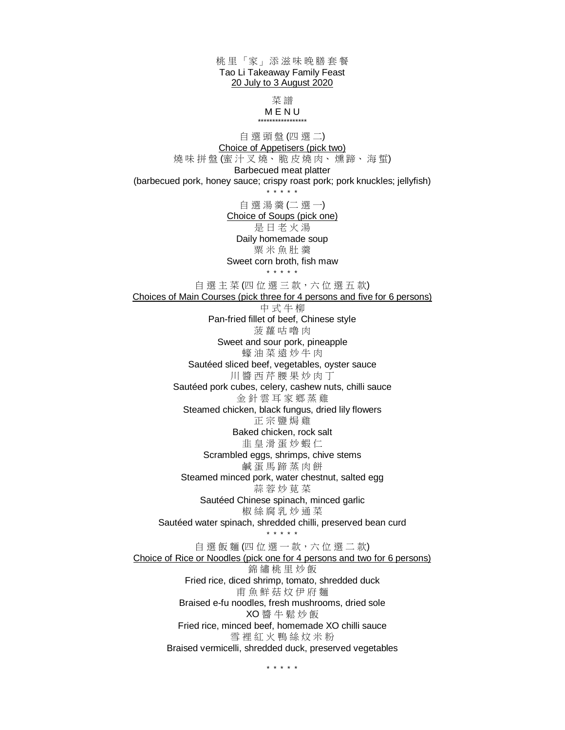桃 里 「家」 添 滋 味 晚 膳 套 餐 Tao Li Takeaway Family Feast 20 July to 3 August 2020 菜 譜 M E N U \*\*\*\*\*\*\*\*\*\*\*\*\*\*\*\*\* 自 選 頭 盤 (四 選 二) Choice of Appetisers (pick two) 燒味拼盤(蜜汁叉燒、脆皮燒肉、燻蹄、海蜇) Barbecued meat platter (barbecued pork, honey sauce; crispy roast pork; pork knuckles; jellyfish) \* \* \* \* \* 自 選 湯 羹 (二 選 一) Choice of Soups (pick one) 是 日 老 火 湯 Daily homemade soup 粟 米 魚 肚 羹 Sweet corn broth, fish maw \* \* \* \* \* 自選主菜(四位選三款,六位選五款) Choices of Main Courses (pick three for 4 persons and five for 6 persons) 中 式 牛 柳 Pan-fried fillet of beef, Chinese style 菠 蘿 咕 嚕 肉 Sweet and sour pork, pineapple 蠔 油 菜 遠 炒 牛 肉 Sautéed sliced beef, vegetables, oyster sauce 川醬西芹腰果炒肉丁 Sautéed pork cubes, celery, cashew nuts, chilli sauce 金針雲耳家鄉蒸雞 Steamed chicken, black fungus, dried lily flowers 正 宗 鹽 焗 雞 Baked chicken, rock salt 韭 皇 滑 蛋 炒 蝦 仁 Scrambled eggs, shrimps, chive stems 鹹 蛋 馬 蹄 蒸 肉 餅 Steamed minced pork, water chestnut, salted egg 蒜 蓉 炒 莧 菜 Sautéed Chinese spinach, minced garlic 椒 絲 腐 乳 炒 通 菜 Sautéed water spinach, shredded chilli, preserved bean curd \* \* \* \* \* 自選飯麵(四位選一款,六位選二款) Choice of Rice or Noodles (pick one for 4 persons and two for 6 persons) 錦 繡 桃 里 炒 飯 Fried rice, diced shrimp, tomato, shredded duck 甫 魚 鮮 菇 炆 伊 府 麵 Braised e-fu noodles, fresh mushrooms, dried sole XO 醬 牛 鬆 炒 飯 Fried rice, minced beef, homemade XO chilli sauce 雪 裡 紅 火 鴨 絲 炆 米 粉 Braised vermicelli, shredded duck, preserved vegetables

\* \* \* \* \*